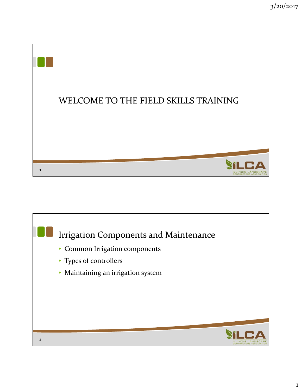

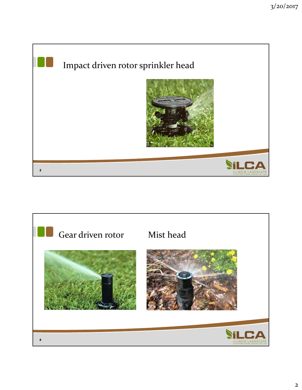

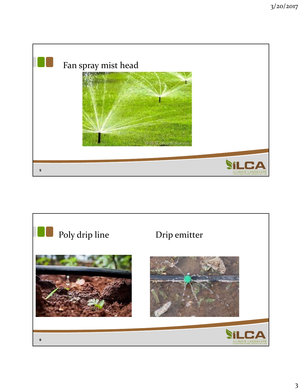

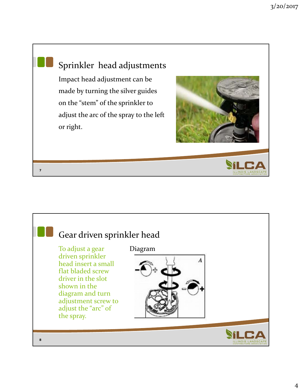## Sprinkler head adjustments Impact head adjustment can be made by turning the silver guides on the "stem" of the sprinkler to adjust the arc of the spray to the left or right. **7**

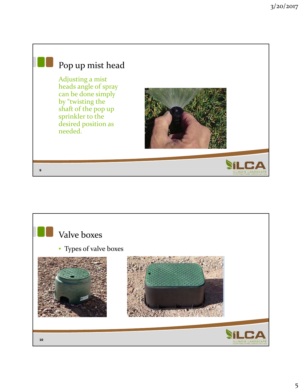

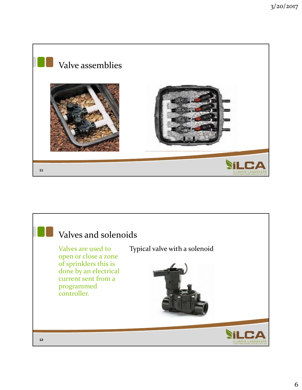

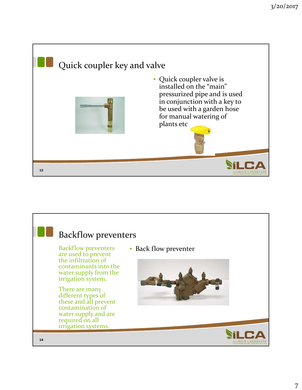

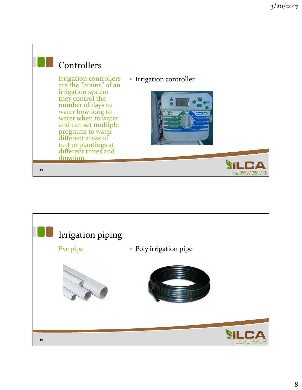

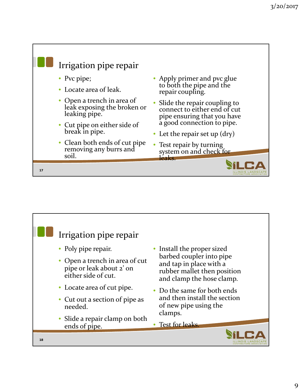

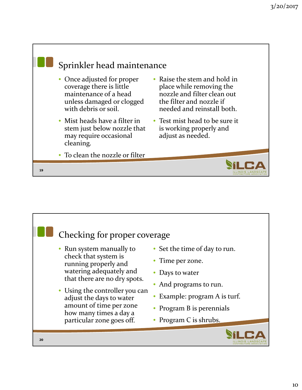

|    | Checking for proper coverage<br>• Run system manually to<br>check that system is<br>running properly and<br>watering adequately and<br>that there are no dry spots.<br>• Using the controller you can<br>adjust the days to water<br>amount of time per zone<br>how many times a day a<br>particular zone goes off. | • Set the time of day to run.<br>• Time per zone.<br>• Days to water<br>• And programs to run.<br>Example: program A is turf.<br>• Program B is perennials<br>• Program C is shrubs. |
|----|---------------------------------------------------------------------------------------------------------------------------------------------------------------------------------------------------------------------------------------------------------------------------------------------------------------------|--------------------------------------------------------------------------------------------------------------------------------------------------------------------------------------|
| 20 |                                                                                                                                                                                                                                                                                                                     |                                                                                                                                                                                      |